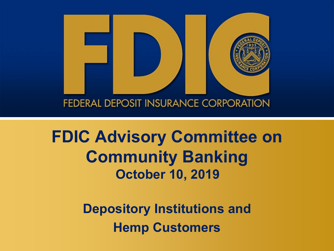

## **FDIC Advisory Committee on Community Banking October 10, 2019**

**Depository Institutions and Hemp Customers**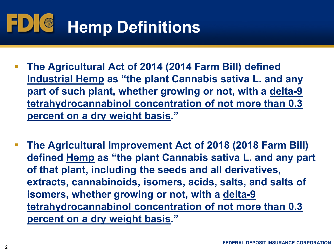## $\blacksquare$ **Hemp Definitions**

- **percent on a dry weight basis." The Agricultural Act of 2014 (2014 Farm Bill) defined Industrial Hemp as "the plant Cannabis sativa L. and any part of such plant, whether growing or not, with a delta-9 tetrahydrocannabinol concentration of not more than 0.3**
- **The Agricultural Improvement Act of 2018 (2018 Farm Bill) defined Hemp as "the plant Cannabis sativa L. and any part percent on a dry weight basis." of that plant, including the seeds and all derivatives, extracts, cannabinoids, isomers, acids, salts, and salts of isomers, whether growing or not, with a delta-9 tetrahydrocannabinol concentration of not more than 0.3**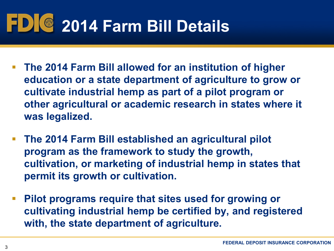# **2014 Farm Bill Details**

- **education or a state department of agriculture to grow or cultivate industrial hemp as part of a pilot program or The 2014 Farm Bill allowed for an institution of higher other agricultural or academic research in states where it was legalized.**
- **The 2014 Farm Bill established an agricultural pilot program as the framework to study the growth, cultivation, or marketing of industrial hemp in states that permit its growth or cultivation.**
- **Pilot programs require that sites used for growing or cultivating industrial hemp be certified by, and registered with, the state department of agriculture.**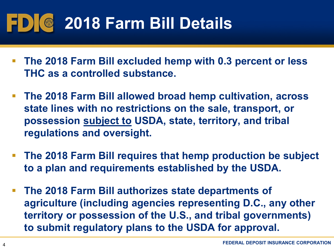# **2018 Farm Bill Details**

- **The 2018 Farm Bill excluded hemp with 0.3 percent or less THC as a controlled substance.**
- **The 2018 Farm Bill allowed broad hemp cultivation, across state lines with no restrictions on the sale, transport, or possession subject to USDA, state, territory, and tribal regulations and oversight.**
- **The 2018 Farm Bill requires that hemp production be subject to a plan and requirements established by the USDA.**
- **agriculture (including agencies representing D.C., any other The 2018 Farm Bill authorizes state departments of territory or possession of the U.S., and tribal governments) to submit regulatory plans to the USDA for approval.**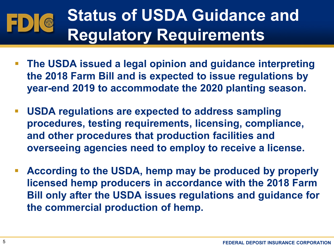## **Status of USDA Guidance and Regulatory Requirements**

- **The USDA issued a legal opinion and guidance interpreting the 2018 Farm Bill and is expected to issue regulations by year-end 2019 to accommodate the 2020 planting season.**
- **USDA regulations are expected to address sampling procedures, testing requirements, licensing, compliance, and other procedures that production facilities and overseeing agencies need to employ to receive a license.**
- **According to the USDA, hemp may be produced by properly licensed hemp producers in accordance with the 2018 Farm Bill only after the USDA issues regulations and guidance for the commercial production of hemp.**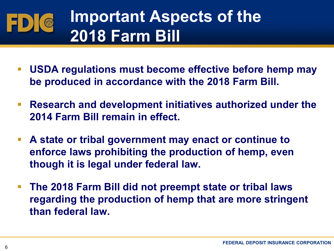## **Important Aspects of the**   $\odot$ **2018 Farm Bill**

- **USDA regulations must become effective before hemp may be produced in accordance with the 2018 Farm Bill.**
- **Research and development initiatives authorized under the 2014 Farm Bill remain in effect.**
- **A state or tribal government may enact or continue to enforce laws prohibiting the production of hemp, even though it is legal under federal law.**
- **The 2018 Farm Bill did not preempt state or tribal laws regarding the production of hemp that are more stringent than federal law.**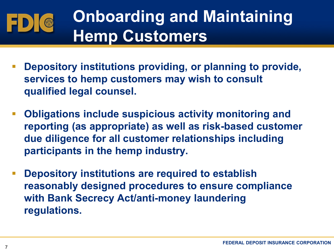## **Onboarding and Maintaining Hemp Customers**

- **Depository institutions providing, or planning to provide, services to hemp customers may wish to consult qualified legal counsel.**
- **Obligations include suspicious activity monitoring and reporting (as appropriate) as well as risk-based customer due diligence for all customer relationships including participants in the hemp industry.**
- **Depository institutions are required to establish reasonably designed procedures to ensure compliance with Bank Secrecy Act/anti-money laundering regulations.**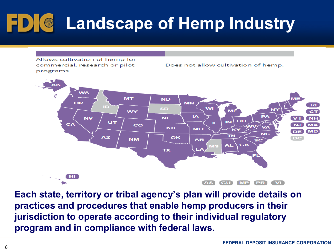# **Landscape of Hemp Industry**

Allows cultivation of hemp for commercial, research or pilot programs

Does not allow cultivation of hemp.



 **Each state, territory or tribal agency's plan will provide details on practices and procedures that enable hemp producers in their jurisdiction to operate according to their individual regulatory program and in compliance with federal laws.**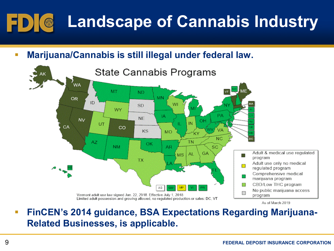#### **Landscape of Cannabis Industry**   $\blacksquare$  D) (  $\odot$



 **FinCEN's 2014 guidance, BSA Expectations Regarding Marijuana-Related Businesses, is applicable.**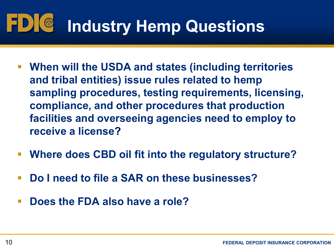### $\blacksquare$ **Industry Hemp Questions**

- **When will the USDA and states (including territories and tribal entities) issue rules related to hemp compliance, and other procedures that production facilities and overseeing agencies need to employ to sampling procedures, testing requirements, licensing, receive a license?**
- **Where does CBD oil fit into the regulatory structure?**
- **Do I need to file a SAR on these businesses?**
- **Does the FDA also have a role?**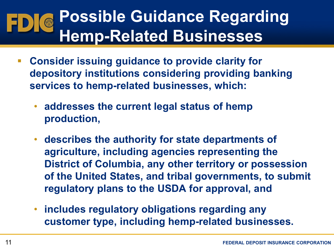## **Possible Guidance Regarding Hemp-Related Businesses**

- **Consider issuing guidance to provide clarity for depository institutions considering providing banking services to hemp-related businesses, which:** 
	- **addresses the current legal status of hemp production,**
	- **describes the authority for state departments of agriculture, including agencies representing the District of Columbia, any other territory or possession of the United States, and tribal governments, to submit regulatory plans to the USDA for approval, and**
	- **includes regulatory obligations regarding any customer type, including hemp-related businesses.**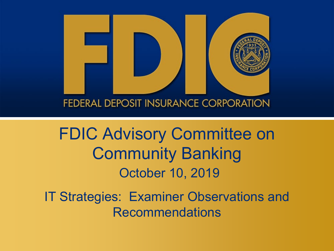

FDIC Advisory Committee on Community Banking October 10, 2019

IT Strategies: Examiner Observations and Recommendations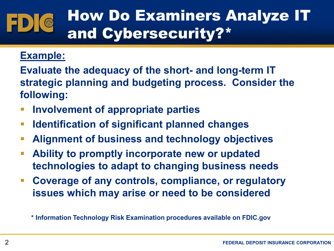## How Do Examiners Analyze IT and Cybersecurity?\*

### **Example:**

**Evaluate the adequacy of the short- and long-term IT strategic planning and budgeting process. Consider the following:** 

- **Involvement of appropriate parties**
- **Identification of significant planned changes**
- **Alignment of business and technology objectives**
- **Ability to promptly incorporate new or updated technologies to adapt to changing business needs**
- **Coverage of any controls, compliance, or regulatory issues which may arise or need to be considered**

 **\* Information Technology Risk Examination procedures available on [FDIC.gov](https://FDIC.gov)**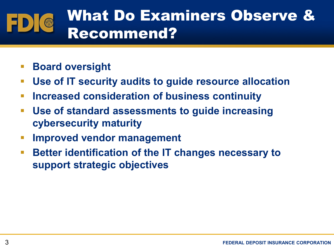#### What Do Examiners Observe & O Recommend?

- **Board oversight**
- **Use of IT security audits to guide resource allocation**
- **Increased consideration of business continuity**
- **Use of standard assessments to guide increasing cybersecurity maturity**
- **Improved vendor management**
- **Better identification of the IT changes necessary to support strategic objectives**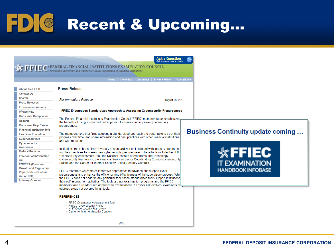FDIC Recent & Upcoming...

|                                                            | Home   Site Index   Disclaimer   Privacy Policy   Accessibility                                                                                                                     |                                          |
|------------------------------------------------------------|-------------------------------------------------------------------------------------------------------------------------------------------------------------------------------------|------------------------------------------|
|                                                            |                                                                                                                                                                                     |                                          |
| <b>About the FFIEC</b>                                     | <b>Press Release</b>                                                                                                                                                                |                                          |
| <b>Contact Us</b>                                          |                                                                                                                                                                                     |                                          |
| <b>Search</b>                                              | <b>For Immediate Release</b>                                                                                                                                                        |                                          |
| <b>Press Releases</b>                                      | August 28, 2019                                                                                                                                                                     |                                          |
| <b>Enforcement Actions</b>                                 |                                                                                                                                                                                     |                                          |
| <b>What's New</b>                                          | FFIEC Encourages Standardized Approach to Assessing Cybersecurity Preparedness                                                                                                      |                                          |
| <b>Consumer Compliance</b>                                 |                                                                                                                                                                                     |                                          |
| <b>Reports</b>                                             | The Federal Financial Institutions Examination Council (FFIEC) members today emphasized<br>the benefits of using a standardized approach to assess and improve cybersecurity        |                                          |
| <b>Consumer Help Center</b>                                | preparedness.                                                                                                                                                                       |                                          |
| <b>Financial Institution Info</b>                          |                                                                                                                                                                                     |                                          |
| <b>Examiner Education</b>                                  | The members note that firms adopting a standardized approach are better able to track their                                                                                         | <b>Business Continuity update coming</b> |
| <b>Supervisory Info</b>                                    | progress over time, and share information and best practices with other financial institutions<br>and with regulators.                                                              |                                          |
| <b>Cybersecurity</b>                                       |                                                                                                                                                                                     |                                          |
| <b>Awareness</b>                                           | Institutions may choose from a variety of standardized tools aligned with industry standards                                                                                        |                                          |
| <b>Federal Register</b>                                    | and best practices to assess their cybersecurity preparedness. These tools include the FFIE(                                                                                        | $*$ FFIEC                                |
| <b>Freedom of Information</b>                              | Cybersecurity Assessment Tool, the National Institute of Standards and Technology                                                                                                   |                                          |
| Act                                                        | Cybersecurity Framework, the Financial Services Sector Coordinating Council Cybersecurity<br>Profile, and the Center for Internet Security Critical Security Controls.              |                                          |
| <b>EGRPRA</b> (Economic                                    |                                                                                                                                                                                     | <b>IT EXAMINATION</b>                    |
| <b>Growth and Regulatory</b><br><b>Paperwork Reduction</b> | FFIEC members welcome collaborative approaches to advance and support cyber                                                                                                         | <b>HANDBOOK INFOBASE</b>                 |
| <b>Act of 1996)</b>                                        | preparedness and enhance the efficiency and effectiveness of the supervisory process. While                                                                                         |                                          |
| <b>Industry Outreach</b>                                   | the FFIEC does not endorse any particular tool, these standardized tools support institutions                                                                                       |                                          |
|                                                            | their self-assessment activities. The tools are not examination programs and the FFIEC<br>members take a risk-focused approach to examinations. As cyber risk evolves, examiners ma |                                          |
|                                                            | address areas not covered by all tools.                                                                                                                                             |                                          |
|                                                            |                                                                                                                                                                                     |                                          |
|                                                            | <b>REFERENCES</b>                                                                                                                                                                   |                                          |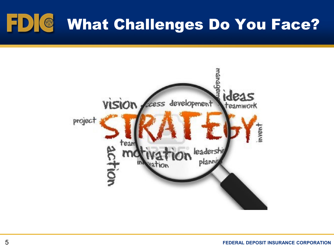# What Challenges Do You Face?

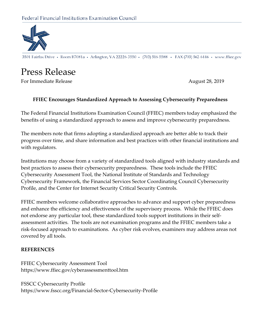

3501 Fairfax Drive • Room B7081a • Arlington, VA 22226-3550 • (703) 516-5588 • FAX (703) 562-6446 • www.ffiec.gov

### Press Release

For Immediate Release August 28, 2019

#### **FFIEC Encourages Standardized Approach to Assessing Cybersecurity Preparedness**

 The Federal Financial Institutions Examination Council (FFIEC) members today emphasized the benefits of using a standardized approach to assess and improve cybersecurity preparedness.

The members note that firms adopting a standardized approach are better able to track their with regulators. progress over time, and share information and best practices with other financial institutions and

Profile, and the Center for Internet Security Critical Security Controls. Institutions may choose from a variety of standardized tools aligned with industry standards and best practices to assess their cybersecurity preparedness. These tools include the FFIEC Cybersecurity Assessment Tool, the National Institute of Standards and Technology Cybersecurity Framework, the Financial Services Sector Coordinating Council Cybersecurity

 assessment activities. The tools are not examination programs and the FFIEC members take a FFIEC members welcome collaborative approaches to advance and support cyber preparedness and enhance the efficiency and effectiveness of the supervisory process. While the FFIEC does not endorse any particular tool, these standardized tools support institutions in their selfrisk-focused approach to examinations. As cyber risk evolves, examiners may address areas not covered by all tools.

#### **REFERENCES**

FFIEC Cybersecurity Assessment Tool https://www.ffiec.gov/cyberassessmenttool.htm

FSSCC Cybersecurity Profile https://www.fsscc.org/Financial-Sector-Cybersecurity-Profile